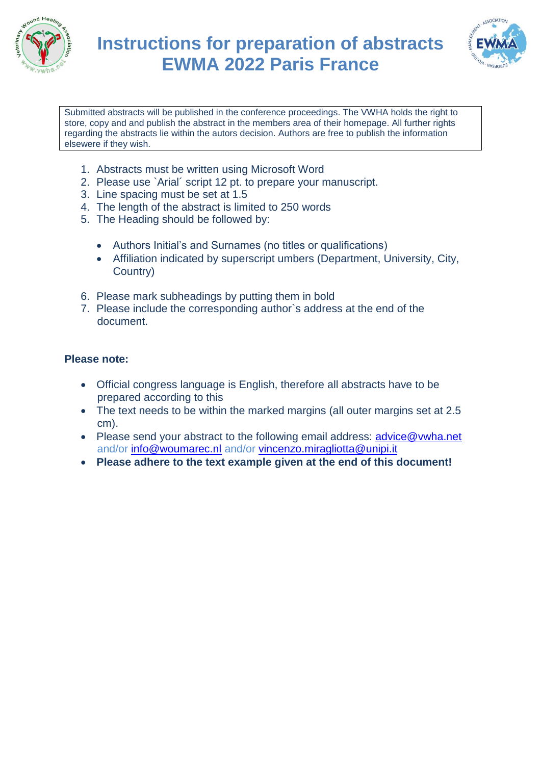



Submitted abstracts will be published in the conference proceedings. The VWHA holds the right to store, copy and and publish the abstract in the members area of their homepage. All further rights regarding the abstracts lie within the autors decision. Authors are free to publish the information elsewere if they wish.

- 1. Abstracts must be written using Microsoft Word
- 2. Please use `Arial´ script 12 pt. to prepare your manuscript.
- 3. Line spacing must be set at 1.5
- 4. The length of the abstract is limited to 250 words
- 5. The Heading should be followed by:
	- Authors Initial's and Surnames (no titles or qualifications)
	- Affiliation indicated by superscript umbers (Department, University, City, Country)
- 6. Please mark subheadings by putting them in bold
- 7. Please include the corresponding author`s address at the end of the document.

## **Please note:**

- Official congress language is English, therefore all abstracts have to be prepared according to this
- The text needs to be within the marked margins (all outer margins set at 2.5 cm).
- Please send your abstract to the following email address: [advice@vwha.net](mailto:advice@vwha.net) and/or [info@woumarec.nl](mailto:info@woumarec.nl) and/or [vincenzo.miragliotta@unipi.it](mailto:vincenzo.miragliotta@unipi.it)
- **Please adhere to the text example given at the end of this document!**